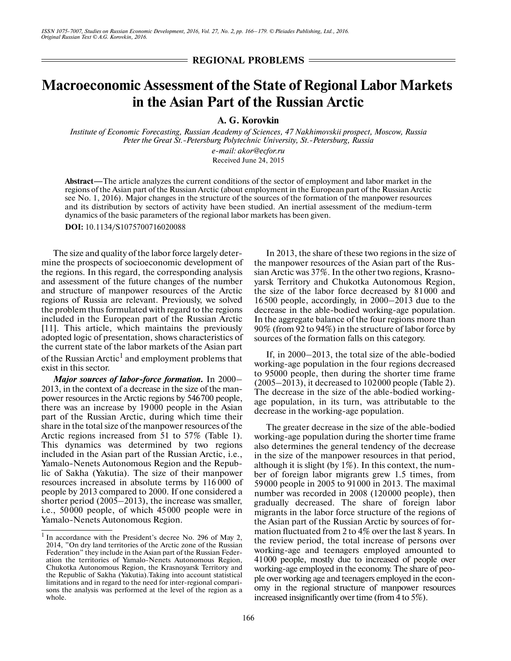**REGIONAL PROBLEMS**

## **Macroeconomic Assessment of the State of Regional Labor Markets in the Asian Part of the Russian Arctic**

**A. G. Korovkin**

*Institute of Economic Forecasting, Russian Academy of Sciences, 47 Nakhimovskii prospect, Moscow, Russia* Peter the Great St.-Petersburg Polytechnic University, St.-Petersburg, Russia

> *e-mail: akor@ecfor.ru* Received June 24, 2015

**Abstract—**The article analyzes the current conditions of the sector of employment and labor market in the regions of the Asian part of the Russian Arctic (about employment in the European part of the Russian Arctic see No. 1, 2016). Major changes in the structure of the sources of the formation of the manpower resources and its distribution by sectors of activity have been studied. An inertial assessment of the medium-term dynamics of the basic parameters of the regional labor markets has been given.

**DOI:** 10.1134/S1075700716020088

The size and quality of the labor force largely deter mine the prospects of socioeconomic development of the regions. In this regard, the corresponding analysis and assessment of the future changes of the number and structure of manpower resources of the Arctic regions of Russia are relevant. Previously, we solved the problem thus formulated with regard to the regions included in the European part of the Russian Arctic [11]. This article, which maintains the previously adopted logic of presentation, shows characteristics of the current state of the labor markets of the Asian part of the Russian Arctic $^{\rm l}$  and employment problems that exist in this sector.

*Major sources of labor-force formation.* In 2000– 2013, in the context of a decrease in the size of the man power resources in the Arctic regions by 546700 people, there was an increase by 19000 people in the Asian part of the Russian Arctic, during which time their share in the total size of the manpower resources of the Arctic regions increased from 51 to 57% (Table 1). This dynamics was determined by two regions included in the Asian part of the Russian Arctic, i.e., Yamalo-Nenets Autonomous Region and the Repub lic of Sakha (Yakutia). The size of their manpower resources increased in absolute terms by 116 000 of people by 2013 compared to 2000. If one considered a shorter period (2005–2013), the increase was smaller, i.e., 50000 people, of which 45000 people were in Yamalo-Nenets Autonomous Region.

In 2013, the share of these two regions in the size of the manpower resources of the Asian part of the Rus sian Arctic was 37%. In the other two regions, Krasno yarsk Territory and Chukotka Autonomous Region, the size of the labor force decreased by 81000 and 16500 people, accordingly, in 2000–2013 due to the decrease in the able-bodied working-age population. In the aggregate balance of the four regions more than 90% (from 92 to 94%) in the structure of labor force by sources of the formation falls on this category.

If, in 2000–2013, the total size of the able-bodied working-age population in the four regions decreased to 95000 people, then during the shorter time frame (2005–2013), it decreased to 102000 people (Table 2). The decrease in the size of the able-bodied working age population, in its turn, was attributable to the decrease in the working-age population.

The greater decrease in the size of the able-bodied working-age population during the shorter time frame also determines the general tendency of the decrease in the size of the manpower resources in that period, although it is slight (by 1%). In this context, the num ber of foreign labor migrants grew 1.5 times, from 59000 people in 2005 to 91000 in 2013. The maximal number was recorded in 2008 (120000 people), then gradually decreased. The share of foreign labor migrants in the labor force structure of the regions of the Asian part of the Russian Arctic by sources of for mation fluctuated from 2 to 4% over the last 8 years. In the review period, the total increase of persons over working-age and teenagers employed amounted to 41000 people, mostly due to increased of people over working-age employed in the economy. The share of peo ple over working age and teenagers employed in the econ omy in the regional structure of manpower resources increased insignificantly over time (from 4 to 5%).

<sup>&</sup>lt;sup>1</sup> In accordance with the President's decree No. 296 of May 2, 2014, "On dry land territories of the Arctic zone of the Russian Federation" they include in the Asian part of the Russian Feder ation the territories of Yamalo-Nenets Autonomous Region, Chukotka Autonomous Region, the Krasnoyarsk Territory and the Republic of Sakha (Yakutia).Taking into account statistical limitations and in regard to the need for inter-regional compari sons the analysis was performed at the level of the region as a whole.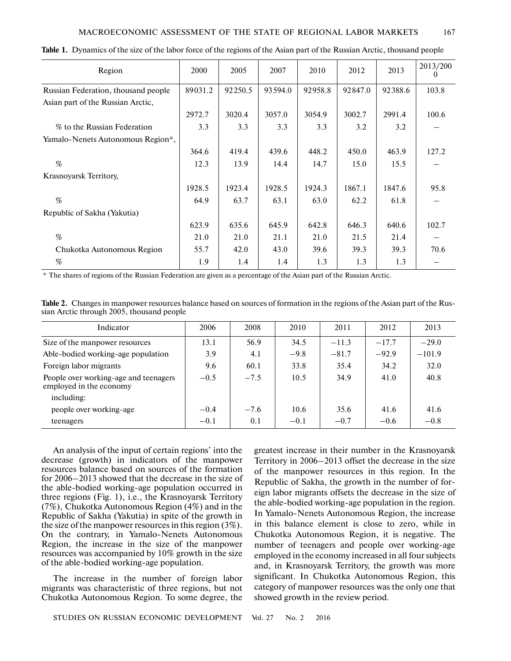## MACROECONOMIC ASSESSMENT OF THE STATE OF REGIONAL LABOR MARKETS 167

| Region                              | <b>2000</b> | 2005    | 2007    | 2010    | 2012    | 2013    | 2013/200<br>U |
|-------------------------------------|-------------|---------|---------|---------|---------|---------|---------------|
| Russian Federation, thousand people | 89031.2     | 92250.5 | 93594.0 | 92958.8 | 92847.0 | 92388.6 | 103.8         |
| Asian part of the Russian Arctic,   |             |         |         |         |         |         |               |
|                                     | 2972.7      | 3020.4  | 3057.0  | 3054.9  | 3002.7  | 2991.4  | 100.6         |
| % to the Russian Federation         | 3.3         | 3.3     | 3.3     | 3.3     | 3.2     | 3.2     |               |
| Yamalo-Nenets Autonomous Region*,   |             |         |         |         |         |         |               |
|                                     | 364.6       | 419.4   | 439.6   | 448.2   | 450.0   | 463.9   | 127.2         |
| %                                   | 12.3        | 13.9    | 14.4    | 14.7    | 15.0    | 15.5    |               |
| Krasnoyarsk Territory,              |             |         |         |         |         |         |               |
|                                     | 1928.5      | 1923.4  | 1928.5  | 1924.3  | 1867.1  | 1847.6  | 95.8          |
| $\%$                                | 64.9        | 63.7    | 63.1    | 63.0    | 62.2    | 61.8    |               |
| Republic of Sakha (Yakutia)         |             |         |         |         |         |         |               |
|                                     | 623.9       | 635.6   | 645.9   | 642.8   | 646.3   | 640.6   | 102.7         |
| %                                   | 21.0        | 21.0    | 21.1    | 21.0    | 21.5    | 21.4    |               |
| Chukotka Autonomous Region          | 55.7        | 42.0    | 43.0    | 39.6    | 39.3    | 39.3    | 70.6          |
| %                                   | 1.9         | 1.4     | 1.4     | 1.3     | 1.3     | 1.3     |               |

**Table 1.** Dynamics of the size of the labor force of the regions of the Asian part of the Russian Arctic, thousand people

\* The shares of regions of the Russian Federation are given as a percentage of the Asian part of the Russian Arctic.

| Table 2. Changes in manpower resources balance based on sources of formation in the regions of the Asian part of the Rus- |  |
|---------------------------------------------------------------------------------------------------------------------------|--|
| sian Arctic through 2005, thousand people                                                                                 |  |

| Indicator                                                        | 2006   | 2008   | 2010   | 2011    | 2012    | 2013     |
|------------------------------------------------------------------|--------|--------|--------|---------|---------|----------|
| Size of the manpower resources                                   | 13.1   | 56.9   | 34.5   | $-11.3$ | $-17.7$ | $-29.0$  |
| Able-bodied working-age population                               | 3.9    | 4.1    | $-9.8$ | $-81.7$ | $-92.9$ | $-101.9$ |
| Foreign labor migrants                                           | 9.6    | 60.1   | 33.8   | 35.4    | 34.2    | 32.0     |
| People over working-age and teenagers<br>employed in the economy | $-0.5$ | $-7.5$ | 10.5   | 34.9    | 41.0    | 40.8     |
| including:                                                       |        |        |        |         |         |          |
| people over working-age                                          | $-0.4$ | $-7.6$ | 10.6   | 35.6    | 41.6    | 41.6     |
| teenagers                                                        | $-0.1$ | 0.1    | $-0.1$ | $-0.7$  | $-0.6$  | $-0.8$   |

An analysis of the input of certain regions' into the decrease (growth) in indicators of the manpower resources balance based on sources of the formation for 2006–2013 showed that the decrease in the size of the able-bodied working-age population occurred in three regions (Fig. 1), i.e., the Krasnoyarsk Territory (7%), Chukotka Autonomous Region (4%) and in the Republic of Sakha (Yakutia) in spite of the growth in the size of the manpower resources in this region (3%). On the contrary, in Yamalo-Nenets Autonomous Region, the increase in the size of the manpower resources was accompanied by 10% growth in the size of the able-bodied working-age population.

The increase in the number of foreign labor migrants was characteristic of three regions, but not Chukotka Autonomous Region. To some degree, the

STUDIES ON RUSSIAN ECONOMIC DEVELOPMENT Vol. 27 No. 2 2016

greatest increase in their number in the Krasnoyarsk Territory in 2006–2013 offset the decrease in the size of the manpower resources in this region. In the Republic of Sakha, the growth in the number of for eign labor migrants offsets the decrease in the size of the able-bodied working-age population in the region. In Yamalo-Nenets Autonomous Region, the increase in this balance element is close to zero, while in Chukotka Autonomous Region, it is negative. The number of teenagers and people over working-age employed in the economy increased in all four subjects and, in Krasnoyarsk Territory, the growth was more significant. In Chukotka Autonomous Region, this category of manpower resources was the only one that showed growth in the review period.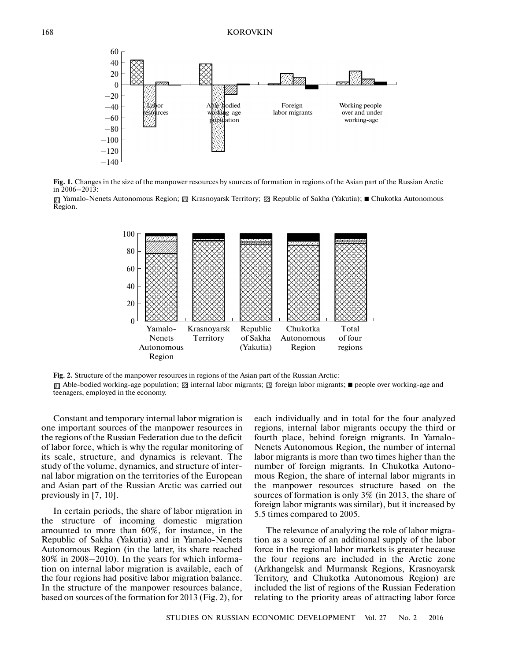

**Fig. 1.** Changes in the size of the manpower resources by sources of formation in regions of the Asian part of the Russian Arctic in 2006–2013:

Yamalo-Nenets Autonomous Region; 图 Krasnoyarsk Territory; Ø Republic of Sakha (Yakutia); ■ Chukotka Autonomous Region.



**Fig. 2.** Structure of the manpower resources in regions of the Asian part of the Russian Arctic:

Able-bodied working-age population; **Ø** internal labor migrants; *®* foreign labor migrants; ■ people over working-age and teenagers, employed in the economy.

Constant and temporary internal labor migration is one important sources of the manpower resources in the regions of the Russian Federation due to the deficit of labor force, which is why the regular monitoring of its scale, structure, and dynamics is relevant. The study of the volume, dynamics, and structure of inter nal labor migration on the territories of the European and Asian part of the Russian Arctic was carried out previously in [7, 10].

In certain periods, the share of labor migration in the structure of incoming domestic migration amounted to more than 60%, for instance, in the Republic of Sakha (Yakutia) and in Yamalo-Nenets Autonomous Region (in the latter, its share reached 80% in 2008–2010). In the years for which informa tion on internal labor migration is available, each of the four regions had positive labor migration balance. In the structure of the manpower resources balance, based on sources of the formation for 2013 (Fig. 2), for each individually and in total for the four analyzed regions, internal labor migrants occupy the third or fourth place, behind foreign migrants. In Yamalo- Nenets Autonomous Region, the number of internal labor migrants is more than two times higher than the number of foreign migrants. In Chukotka Autono mous Region, the share of internal labor migrants in the manpower resources structure based on the sources of formation is only 3% (in 2013, the share of foreign labor migrants was similar), but it increased by 5.5 times compared to 2005.

The relevance of analyzing the role of labor migra tion as a source of an additional supply of the labor force in the regional labor markets is greater because the four regions are included in the Arctic zone (Arkhangelsk and Murmansk Regions, Krasnoyarsk Territory, and Chukotka Autonomous Region) are included the list of regions of the Russian Federation relating to the priority areas of attracting labor force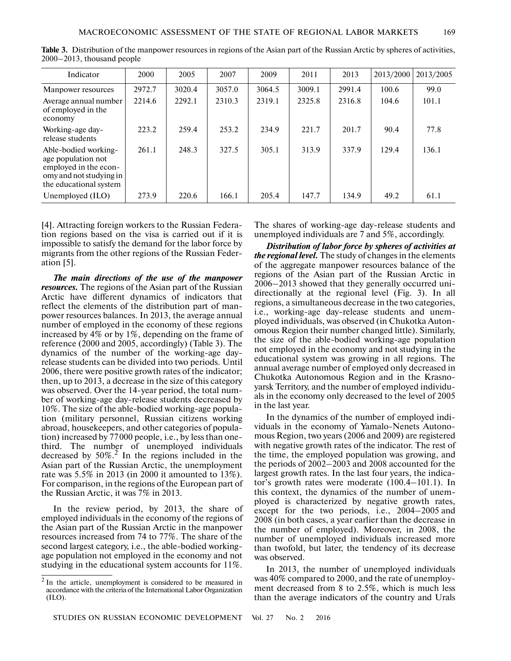| Indicator                                                                                                                | 2000   | 2005   | 2007   | 2009   | 2011   | 2013   | 2013/2000 | 2013/2005 |
|--------------------------------------------------------------------------------------------------------------------------|--------|--------|--------|--------|--------|--------|-----------|-----------|
| Manpower resources                                                                                                       | 2972.7 | 3020.4 | 3057.0 | 3064.5 | 3009.1 | 2991.4 | 100.6     | 99.0      |
| Average annual number<br>of employed in the<br>economy                                                                   | 2214.6 | 2292.1 | 2310.3 | 2319.1 | 2325.8 | 2316.8 | 104.6     | 101.1     |
| Working-age day-<br>release students                                                                                     | 223.2  | 259.4  | 253.2  | 234.9  | 221.7  | 201.7  | 90.4      | 77.8      |
| Able-bodied working-<br>age population not<br>employed in the econ-<br>omy and not studying in<br>the educational system | 261.1  | 248.3  | 327.5  | 305.1  | 313.9  | 337.9  | 129.4     | 136.1     |
| Unemployed (ILO)                                                                                                         | 273.9  | 220.6  | 166.1  | 205.4  | 147.7  | 134.9  | 49.2      | 61.1      |

**Table 3.** Distribution of the manpower resources in regions of the Asian part of the Russian Arctic by spheres of activities, 2000–2013, thousand people

[4]. Attracting foreign workers to the Russian Federa tion regions based on the visa is carried out if it is impossible to satisfy the demand for the labor force by migrants from the other regions of the Russian Feder ation [5].

*The main directions of the use of the manpower resources.* The regions of the Asian part of the Russian Arctic have different dynamics of indicators that reflect the elements of the distribution part of man power resources balances. In 2013, the average annual number of employed in the economy of these regions increased by 4% or by 1%, depending on the frame of reference (2000 and 2005, accordingly) (Table 3). The dynamics of the number of the working-age day release students can be divided into two periods. Until 2006, there were positive growth rates of the indicator; then, up to 2013, a decrease in the size of this category was observed. Over the 14-year period, the total num ber of working-age day-release students decreased by 10%. The size of the able-bodied working-age popula tion (military personnel, Russian citizens working abroad, housekeepers, and other categories of popula tion) increased by 77000 people, i.e., by less than one third. The number of unemployed individuals decreased by  $50\%$ <sup>2</sup>. In the regions included in the Asian part of the Russian Arctic, the unemployment rate was 5.5% in 2013 (in 2000 it amounted to 13%). For comparison, in the regions of the European part of the Russian Arctic, it was 7% in 2013.

In the review period, by 2013, the share of employed individuals in the economy of the regions of the Asian part of the Russian Arctic in the manpower resources increased from 74 to 77%. The share of the second largest category, i.e., the able-bodied working age population not employed in the economy and not studying in the educational system accounts for 11%.

The shares of working-age day-release students and unemployed individuals are 7 and 5%, accordingly.

*Distribution of labor force by spheres of activities at the regional level.* The study of changes in the elements of the aggregate manpower resources balance of the regions of the Asian part of the Russian Arctic in 2006–2013 showed that they generally occurred uni directionally at the regional level (Fig. 3). In all regions, a simultaneous decrease in the two categories, i.e., working-age day-release students and unem ployed individuals, was observed (in Chukotka Auton omous Region their number changed little). Similarly, the size of the able-bodied working-age population not employed in the economy and not studying in the educational system was growing in all regions. The annual average number of employed only decreased in Chukotka Autonomous Region and in the Krasno yarsk Territory, and the number of employed individu als in the economy only decreased to the level of 2005 in the last year.

In the dynamics of the number of employed indi viduals in the economy of Yamalo-Nenets Autono mous Region, two years (2006 and 2009) are registered with negative growth rates of the indicator. The rest of the time, the employed population was growing, and the periods of 2002–2003 and 2008 accounted for the largest growth rates. In the last four years, the indica tor's growth rates were moderate (100.4–101.1). In this context, the dynamics of the number of unem ployed is characterized by negative growth rates, except for the two periods, i.e., 2004–2005 and 2008 (in both cases, a year earlier than the decrease in the number of employed). Moreover, in 2008, the number of unemployed individuals increased more than twofold, but later, the tendency of its decrease was observed.

In 2013, the number of unemployed individuals was 40% compared to 2000, and the rate of unemploy ment decreased from 8 to 2.5%, which is much less than the average indicators of the country and Urals

<sup>2</sup> In the article, unemployment is considered to be measured in accordance with the criteria of the International Labor Organization (ILO).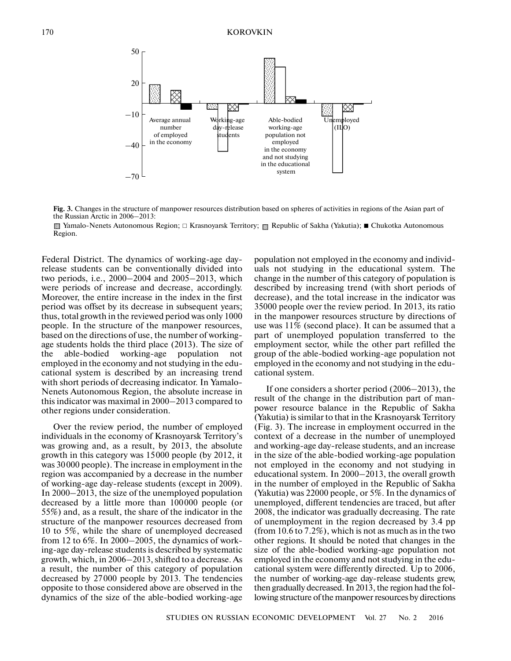

**Fig. 3.** Changes in the structure of manpower resources distribution based on spheres of activities in regions of the Asian part of the Russian Arctic in 2006–2013:

Yamalo-Nenets Autonomous Region; □ Krasnoyarsk Territory; 图 Republic of Sakha (Yakutia); ■ Chukotka Autonomous Region.

Federal District. The dynamics of working-age day release students can be conventionally divided into two periods, i.e., 2000–2004 and 2005–2013, which were periods of increase and decrease, accordingly. Moreover, the entire increase in the index in the first period was offset by its decrease in subsequent years; thus, total growth in the reviewed period was only 1000 people. In the structure of the manpower resources, based on the directions of use, the number of working age students holds the third place (2013). The size of the ableworking-age population not employed in the economy and not studying in the edu cational system is described by an increasing trend with short periods of decreasing indicator. In Yamalo- Nenets Autonomous Region, the absolute increase in this indicator was maximal in 2000–2013 compared to other regions under consideration.

Over the review period, the number of employed individuals in the economy of Krasnoyarsk Territory's was growing and, as a result, by 2013, the absolute growth in this category was 15000 people (by 2012, it was 30000 people). The increase in employment in the region was accompanied by a decrease in the number of working-age day-release students (except in 2009). In 2000–2013, the size of the unemployed population decreased by a little more than 100000 people (or 55%) and, as a result, the share of the indicator in the structure of the manpower resources decreased from 10 to 5%, while the share of unemployed decreased from 12 to 6%. In 2000–2005, the dynamics of work ing-age day-release students is described by systematic growth, which, in 2006–2013, shifted to a decrease. As a result, the number of this category of population decreased by 27000 people by 2013. The tendencies opposite to those considered above are observed in the dynamics of the size of the able-bodied working-age

population not employed in the economy and individ uals not studying in the educational system. The change in the number of this category of population is described by increasing trend (with short periods of decrease), and the total increase in the indicator was 35000 people over the review period. In 2013, its ratio in the manpower resources structure by directions of use was 11% (second place). It can be assumed that a part of unemployed population transferred to the employment sector, while the other part refilled the group of the able-bodied working-age population not employed in the economy and not studying in the edu cational system.

If one considers a shorter period (2006–2013), the result of the change in the distribution part of man power resource balance in the Republic of Sakha (Yakutia) is similar to that in the Krasnoyarsk Territory (Fig. 3). The increase in employment occurred in the context of a decrease in the number of unemployed and working-age day-release students, and an increase in the size of the able-bodied working-age population not employed in the economy and not studying in educational system. In 2000–2013, the overall growth in the number of employed in the Republic of Sakha (Yakutia) was 22000 people, or 5%. In the dynamics of unemployed, different tendencies are traced, but after 2008, the indicator was gradually decreasing. The rate of unemployment in the region decreased by 3.4 pp (from 10.6 to 7.2%), which is not as much as in the two other regions. It should be noted that changes in the size of the able-bodied working-age population not employed in the economy and not studying in the edu cational system were differently directed. Up to 2006, the number of working-age day-release students grew, then gradually decreased. In 2013, the region had the fol lowing structure of the manpower resources by directions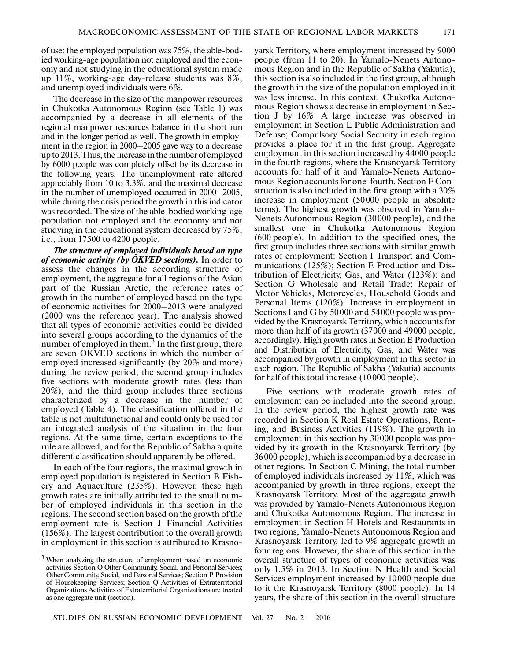of use: the employed population was 75%, the able-bod ied working-age population not employed and the econ omy and not studying in the educational system made up 11%, working-age day-release students was 8%, and unemployed individuals were 6%.

The decrease in the size of the manpower resources in Chukotka Autonomous Region (see Table 1) was accompanied by a decrease in all elements of the regional manpower resources balance in the short run and in the longer period as well. The growth in employ ment in the region in 2000–2005 gave way to a decrease up to 2013. Thus, the increase in the number of employed by 6000 people was completely offset by its decrease in the following years. The unemployment rate altered appreciably from 10 to 3.3%, and the maximal decrease in the number of unemployed occurred in 2000–2005, while during the crisis period the growth in this indicator was recorded. The size of the able-bodied working-age population not employed and the economy and not studying in the educational system decreased by 75%, i.e., from 17500 to 4200 people.

*The structure of employed individuals based on type of economic activity (by OKVED sections).* In order to assess the changes in the according structure of employment, the aggregate for all regions of the Asian part of the Russian Arctic, the reference rates of growth in the number of employed based on the type of economic activities for 2000–2013 were analyzed (2000 was the reference year). The analysis showed that all types of economic activities could be divided into several groups according to the dynamics of the number of employed in them.<sup>3</sup> In the first group, there are seven OKVED sections in which the number of employed increased significantly (by 20% and more) during the review period, the second group includes five sections with moderate growth rates (less than 20%), and the third group includes three sections characterized by a decrease in the number of employed (Table 4). The classification offered in the table is not multifunctional and could only be used for an integrated analysis of the situation in the four regions. At the same time, certain exceptions to the rule are allowed, and for the Republic of Sakha a quite different classification should apparently be offered.

In each of the four regions, the maximal growth in employed population is registered in Section B Fish ery and Aquaculture (235%). However, these high growth rates are initially attributed to the small num ber of employed individuals in this section in the regions. The second section based on the growth of the employment rate is Section J Financial Activities (156%). The largest contribution to the overall growth in employment in this section is attributed to Krasnoyarsk Territory, where employment increased by 9000 people (from 11 to 20). In Yamalo-Nenets Autono mous Region and in the Republic of Sakha (Yakutia), this section is also included in the first group, although the growth in the size of the population employed in it was less intense. In this context, Chukotka Autono mous Region shows a decrease in employment in Sec tion J by 16%. A large increase was observed in employment in Section L Public Administration and Defense; Compulsory Social Security in each region provides a place for it in the first group. Aggregate employment in this section increased by 44000 people in the fourth regions, where the Krasnoyarsk Territory accounts for half of it and Yamalo-Nenets Autono mous Region accounts for one-fourth. Section F Con struction is also included in the first group with a 30% increase in employment (50000 people in absolute terms). The highest growth was observed in Yamalo- Nenets Autonomous Region (30000 people), and the smallest one in Chukotka Autonomous Region (600 people). In addition to the specified ones, the first group includes three sections with similar growth rates of employment: Section I Transport and Com munications (125%); Section E Production and Dis tribution of Electricity, Gas, and Water (123%); and Section G Wholesale and Retail Trade; Repair of Motor Vehicles, Motorcycles, Household Goods and Personal Items (120%). Increase in employment in Sections I and G by 50000 and 54000 people was pro vided by the Krasnoyarsk Territory, which accounts for more than half of its growth (37000 and 49000 people, accordingly). High growth rates in Section E Production and Distribution of Electricity, Gas, and Water was accompanied by growth in employment in this sector in each region. The Republic of Sakha (Yakutia) accounts for half of this total increase (10000 people).

Five sections with moderate growth rates of employment can be included into the second group. In the review period, the highest growth rate was recorded in Section K Real Estate Operations, Rent ing, and Business Activities (119%). The growth in employment in this section by 30000 people was pro vided by its growth in the Krasnoyarsk Territory (by 36000 people), which is accompanied by a decrease in other regions. In Section C Mining, the total number of employed individuals increased by 11%, which was accompanied by growth in three regions, except the Krasnoyarsk Territory. Most of the aggregate growth was provided by Yamalo-Nenets Autonomous Region and Chukotka Autonomous Region. The increase in employment in Section H Hotels and Restaurants in two regions, Yamalo-Nenets Autonomous Region and Krasnoyarsk Territory, led to 9% aggregate growth in four regions. However, the share of this section in the overall structure of types of economic activities was only 1.5% in 2013. In Section N Health and Social Services employment increased by 10000 people due to it the Krasnoyarsk Territory (8000 people). In 14 years, the share of this section in the overall structure

<sup>3</sup> When analyzing the structure of employment based on economic activities Section O Other Community, Social, and Personal Services; Other Community, Social, and Personal Services; Section P Provision of Housekeeping Services; Section Q Activities of Extraterritorial Organizations Activities of Extraterritorial Organizations are treated as one aggregate unit (section).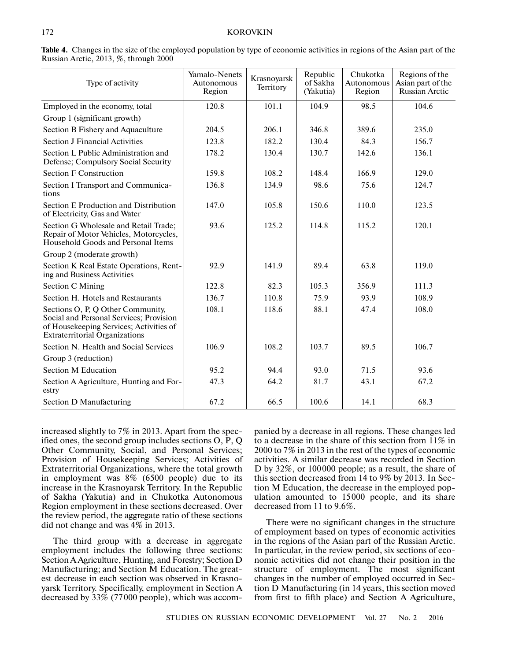| Type of activity                                                                                                                                                 | Yamalo-Nenets<br>Autonomous<br>Region | Krasnoyarsk<br>Territory | Republic<br>of Sakha<br>(Yakutia) | Chukotka<br>Autonomous<br>Region | Regions of the<br>Asian part of the<br>Russian Arctic |
|------------------------------------------------------------------------------------------------------------------------------------------------------------------|---------------------------------------|--------------------------|-----------------------------------|----------------------------------|-------------------------------------------------------|
| Employed in the economy, total                                                                                                                                   | 120.8                                 | 101.1                    | 104.9                             | 98.5                             | 104.6                                                 |
| Group 1 (significant growth)                                                                                                                                     |                                       |                          |                                   |                                  |                                                       |
| Section B Fishery and Aquaculture                                                                                                                                | 204.5                                 | 206.1                    | 346.8                             | 389.6                            | 235.0                                                 |
| <b>Section J Financial Activities</b>                                                                                                                            | 123.8                                 | 182.2                    | 130.4                             | 84.3                             | 156.7                                                 |
| Section L Public Administration and<br>Defense; Compulsory Social Security                                                                                       | 178.2                                 | 130.4                    | 130.7                             | 142.6                            | 136.1                                                 |
| <b>Section F Construction</b>                                                                                                                                    | 159.8                                 | 108.2                    | 148.4                             | 166.9                            | 129.0                                                 |
| Section I Transport and Communica-<br>tions                                                                                                                      | 136.8                                 | 134.9                    | 98.6                              | 75.6                             | 124.7                                                 |
| Section E Production and Distribution<br>of Electricity, Gas and Water                                                                                           | 147.0                                 | 105.8                    | 150.6                             | 110.0                            | 123.5                                                 |
| Section G Wholesale and Retail Trade;<br>Repair of Motor Vehicles, Motorcycles,<br>Household Goods and Personal Items                                            | 93.6                                  | 125.2                    | 114.8                             | 115.2                            | 120.1                                                 |
| Group 2 (moderate growth)                                                                                                                                        |                                       |                          |                                   |                                  |                                                       |
| Section K Real Estate Operations, Rent-<br>ing and Business Activities                                                                                           | 92.9                                  | 141.9                    | 89.4                              | 63.8                             | 119.0                                                 |
| <b>Section C Mining</b>                                                                                                                                          | 122.8                                 | 82.3                     | 105.3                             | 356.9                            | 111.3                                                 |
| Section H. Hotels and Restaurants                                                                                                                                | 136.7                                 | 110.8                    | 75.9                              | 93.9                             | 108.9                                                 |
| Sections O, P, Q Other Community,<br>Social and Personal Services; Provision<br>of Housekeeping Services; Activities of<br><b>Extraterritorial Organizations</b> | 108.1                                 | 118.6                    | 88.1                              | 47.4                             | 108.0                                                 |
| Section N. Health and Social Services                                                                                                                            | 106.9                                 | 108.2                    | 103.7                             | 89.5                             | 106.7                                                 |
| Group 3 (reduction)                                                                                                                                              |                                       |                          |                                   |                                  |                                                       |
| <b>Section M Education</b>                                                                                                                                       | 95.2                                  | 94.4                     | 93.0                              | 71.5                             | 93.6                                                  |
| Section A Agriculture, Hunting and For-<br>estry                                                                                                                 | 47.3                                  | 64.2                     | 81.7                              | 43.1                             | 67.2                                                  |
| Section D Manufacturing                                                                                                                                          | 67.2                                  | 66.5                     | 100.6                             | 14.1                             | 68.3                                                  |

**Table 4.** Changes in the size of the employed population by type of economic activities in regions of the Asian part of the Russian Arctic, 2013, %, through 2000

increased slightly to 7% in 2013. Apart from the spec ified ones, the second group includes sections O, P, Q Other Community, Social, and Personal Services; Provision of Housekeeping Services; Activities of Extraterritorial Organizations, where the total growth in employment was 8% (6500 people) due to its increase in the Krasnoyarsk Territory. In the Republic of Sakha (Yakutia) and in Chukotka Autonomous Region employment in these sections decreased. Over the review period, the aggregate ratio of these sections did not change and was 4% in 2013.

The third group with a decrease in aggregate employment includes the following three sections: Section A Agriculture, Hunting, and Forestry; Section D Manufacturing; and Section M Education. The great est decrease in each section was observed in Krasno yarsk Territory. Specifically, employment in Section A decreased by 33% (77000 people), which was accompanied by a decrease in all regions. These changes led to a decrease in the share of this section from 11% in 2000 to 7% in 2013 in the rest of the types of economic activities. A similar decrease was recorded in Section D by 32%, or 100000 people; as a result, the share of this section decreased from 14 to 9% by 2013. In Sec tion M Education, the decrease in the employed pop ulation amounted to 15000 people, and its share decreased from 11 to 9.6%.

There were no significant changes in the structure of employment based on types of economic activities in the regions of the Asian part of the Russian Arctic. In particular, in the review period, six sections of eco nomic activities did not change their position in the structure of employment. The most significant changes in the number of employed occurred in Sec tion D Manufacturing (in 14 years, this section moved from first to fifth place) and Section A Agriculture,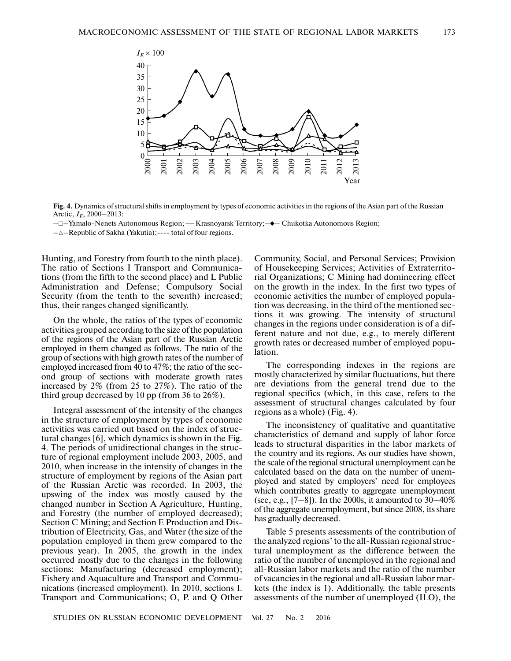

**Fig. 4.** Dynamics of structural shifts in employment by types of economic activities in the regions of the Asian part of the Russian Arctic, *IE*, 2000–2013: nics of structural shifts in employment by types of economic activities in the regions of the Asia<br>00−2013:<br>Nenets Autonomous Region; — Krasnoyarsk Territory;−♦− Chukotka Autonomous Region;

-□-Yamalo-Nenets Autonomous Region; — Krasnoyarsk Territory; -◆- Chukotka Autonomous Region;

Hunting, and Forestry from fourth to the ninth place). The ratio of Sections I Transport and Communica tions (from the fifth to the second place) and L Public Administration and Defense; Compulsory Social Security (from the tenth to the seventh) increased; thus, their ranges changed significantly.

On the whole, the ratios of the types of economic activities grouped according to the size of the population of the regions of the Asian part of the Russian Arctic employed in them changed as follows. The ratio of the group of sections with high growth rates of the number of employed increased from 40 to 47%; the ratio of the sec ond group of sections with moderate growth rates increased by 2% (from 25 to 27%). The ratio of the third group decreased by 10 pp (from 36 to 26%).

Integral assessment of the intensity of the changes in the structure of employment by types of economic activities was carried out based on the index of struc tural changes [6], which dynamics is shown in the Fig. 4. The periods of unidirectional changes in the struc ture of regional employment include 2003, 2005, and 2010, when increase in the intensity of changes in the structure of employment by regions of the Asian part of the Russian Arctic was recorded. In 2003, the upswing of the index was mostly caused by the changed number in Section A Agriculture, Hunting, and Forestry (the number of employed decreased); Section C Mining; and Section E Production and Dis tribution of Electricity, Gas, and Water (the size of the population employed in them grew compared to the previous year). In 2005, the growth in the index occurred mostly due to the changes in the following sections: Manufacturing (decreased employment); Fishery and Aquaculture and Transport and Commu nications (increased employment). In 2010, sections I. Transport and Communications; O, P. and Q Other Community, Social, and Personal Services; Provision of Housekeeping Services; Activities of Extraterrito rial Organizations; C Mining had domineering effect on the growth in the index. In the first two types of economic activities the number of employed popula tion was decreasing, in the third of the mentioned sec tions it was growing. The intensity of structural changes in the regions under consideration is of a dif ferent nature and not due, e.g., to merely different growth rates or decreased number of employed popu lation.

The corresponding indexes in the regions are mostly characterized by similar fluctuations, but there are deviations from the general trend due to the regional specifics (which, in this case, refers to the assessment of structural changes calculated by four regions as a whole) (Fig. 4).

The inconsistency of qualitative and quantitative characteristics of demand and supply of labor force leads to structural disparities in the labor markets of the country and its regions. As our studies have shown, the scale of the regional structural unemployment can be calculated based on the data on the number of unem ployed and stated by employers' need for employees which contributes greatly to aggregate unemployment (see, e.g.,  $[7-8]$ ). In the 2000s, it amounted to 30-40% of the aggregate unemployment, but since 2008, its share has gradually decreased.

Table 5 presents assessments of the contribution of the analyzed regions' to the all-Russian regional struc tural unemployment as the difference between the ratio of the number of unemployed in the regional and all-Russian labor markets and the ratio of the number of vacancies in the regional and all-Russian labor mar kets (the index is 1). Additionally, the table presents assessments of the number of unemployed (ILO), the

 $-\triangle$ -Republic of Sakha (Yakutia);---- total of four regions.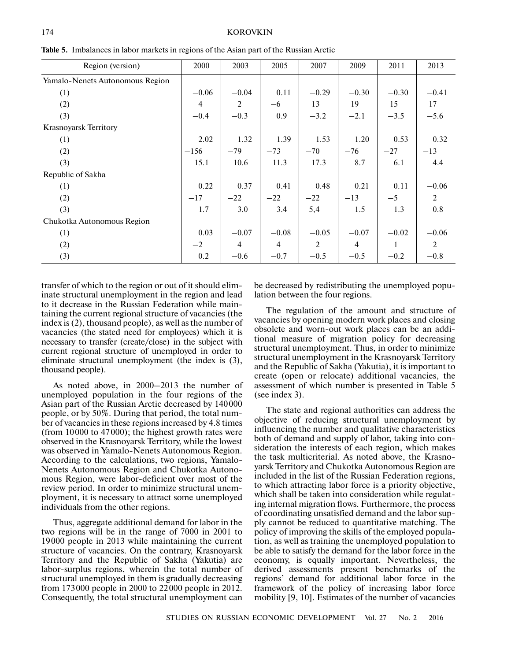| Region (version)                | 2000           | 2003           | 2005           | 2007    | 2009           | 2011    | 2013    |
|---------------------------------|----------------|----------------|----------------|---------|----------------|---------|---------|
| Yamalo-Nenets Autonomous Region |                |                |                |         |                |         |         |
| (1)                             | $-0.06$        | $-0.04$        | 0.11           | $-0.29$ | $-0.30$        | $-0.30$ | $-0.41$ |
| (2)                             | $\overline{4}$ | 2              | $-6$           | 13      | 19             | 15      | 17      |
| (3)                             | $-0.4$         | $-0.3$         | 0.9            | $-3.2$  | $-2.1$         | $-3.5$  | $-5.6$  |
| Krasnoyarsk Territory           |                |                |                |         |                |         |         |
| (1)                             | 2.02           | 1.32           | 1.39           | 1.53    | 1.20           | 0.53    | 0.32    |
| (2)                             | $-156$         | $-79$          | $-73$          | $-70$   | $-76$          | $-27$   | $-13$   |
| (3)                             | 15.1           | 10.6           | 11.3           | 17.3    | 8.7            | 6.1     | 4.4     |
| Republic of Sakha               |                |                |                |         |                |         |         |
| (1)                             | 0.22           | 0.37           | 0.41           | 0.48    | 0.21           | 0.11    | $-0.06$ |
| (2)                             | $-17$          | $-22$          | $-22$          | $-22$   | $-13$          | $-5$    | 2       |
| (3)                             | 1.7            | 3.0            | 3.4            | 5,4     | 1.5            | 1.3     | $-0.8$  |
| Chukotka Autonomous Region      |                |                |                |         |                |         |         |
| (1)                             | 0.03           | $-0.07$        | $-0.08$        | $-0.05$ | $-0.07$        | $-0.02$ | $-0.06$ |
| (2)                             | $-2$           | $\overline{4}$ | $\overline{4}$ | 2       | $\overline{4}$ | 1       | 2       |
| (3)                             | 0.2            | $-0.6$         | $-0.7$         | $-0.5$  | $-0.5$         | $-0.2$  | $-0.8$  |

**Table 5.** Imbalances in labor markets in regions of the Asian part of the Russian Arctic

transfer of which to the region or out of it should elim inate structural unemployment in the region and lead to it decrease in the Russian Federation while main taining the current regional structure of vacancies (the index is (2), thousand people), as well as the number of vacancies (the stated need for employees) which it is necessary to transfer (create/close) in the subject with current regional structure of unemployed in order to eliminate structural unemployment (the index is (3), thousand people).

As noted above, in 2000–2013 the number of unemployed population in the four regions of the Asian part of the Russian Arctic decreased by 140000 people, or by 50%. During that period, the total num ber of vacancies in these regions increased by 4.8 times (from 10000 to 47000); the highest growth rates were observed in the Krasnoyarsk Territory, while the lowest was observed in Yamalo-Nenets Autonomous Region. According to the calculations, two regions, Yamalo-Nenets Autonomous Region and Chukotka Autono mous Region, were labor-deficient over most of the review period. In order to minimize structural unem ployment, it is necessary to attract some unemployed individuals from the other regions.

Thus, aggregate additional demand for labor in the two regions will be in the range of 7000 in 2001 to 19000 people in 2013 while maintaining the current structure of vacancies. On the contrary, Krasnoyarsk Territory and the Republic of Sakha (Yakutia) are labor-surplus regions, wherein the total number of structural unemployed in them is gradually decreasing from 173000 people in 2000 to 22000 people in 2012. Consequently, the total structural unemployment can

be decreased by redistributing the unemployed popu lation between the four regions.

The regulation of the amount and structure of vacancies by opening modern work places and closing obsolete and worn-out work places can be an addi tional measure of migration policy for decreasing structural unemployment. Thus, in order to minimize structural unemployment in the Krasnoyarsk Territory and the Republic of Sakha (Yakutia), it is important to create (open or relocate) additional vacancies, the assessment of which number is presented in Table 5 (see index 3).

The state and regional authorities can address the objective of reducing structural unemployment by influencing the number and qualitative characteristics both of demand and supply of labor, taking into con sideration the interests of each region, which makes the task multicriterial. As noted above, the Krasno yarsk Territory and Chukotka Autonomous Region are included in the list of the Russian Federation regions, to which attracting labor force is a priority objective, which shall be taken into consideration while regulat ing internal migration flows. Furthermore, the process of coordinating unsatisfied demand and the labor sup ply cannot be reduced to quantitative matching. The policy of improving the skills of the employed popula tion, as well as training the unemployed population to be able to satisfy the demand for the labor force in the economy, is equally important. Nevertheless, the derived assessments present benchmarks of the regions' demand for additional labor force in the framework of the policy of increasing labor force mobility [9, 10]. Estimates of the number of vacancies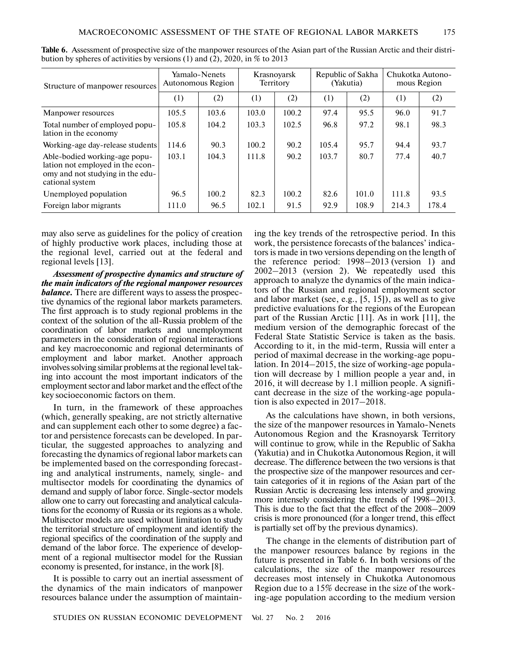| Structure of manpower resources                                                                                          | Yamalo-Nenets<br>Autonomous Region |       | Krasnovarsk<br>Territory |       | Republic of Sakha<br>(Yakutia) |       | Chukotka Autono-<br>mous Region |       |
|--------------------------------------------------------------------------------------------------------------------------|------------------------------------|-------|--------------------------|-------|--------------------------------|-------|---------------------------------|-------|
|                                                                                                                          | (1)                                | (2)   | (1)                      | (2)   | (1)                            | (2)   | (1)                             | (2)   |
| Manpower resources                                                                                                       | 105.5                              | 103.6 | 103.0                    | 100.2 | 97.4                           | 95.5  | 96.0                            | 91.7  |
| Total number of employed popu-<br>lation in the economy                                                                  | 105.8                              | 104.2 | 103.3                    | 102.5 | 96.8                           | 97.2  | 98.1                            | 98.3  |
| Working-age day-release students                                                                                         | 114.6                              | 90.3  | 100.2                    | 90.2  | 105.4                          | 95.7  | 94.4                            | 93.7  |
| Able-bodied working-age popu-<br>lation not employed in the econ-<br>omy and not studying in the edu-<br>cational system | 103.1                              | 104.3 | 111.8                    | 90.2  | 103.7                          | 80.7  | 77.4                            | 40.7  |
| Unemployed population                                                                                                    | 96.5                               | 100.2 | 82.3                     | 100.2 | 82.6                           | 101.0 | 111.8                           | 93.5  |
| Foreign labor migrants                                                                                                   | 111.0                              | 96.5  | 102.1                    | 91.5  | 92.9                           | 108.9 | 214.3                           | 178.4 |

**Table 6.** Assessment of prospective size of the manpower resources of the Asian part of the Russian Arctic and their distri bution by spheres of activities by versions (1) and (2), 2020, in % to 2013

may also serve as guidelines for the policy of creation of highly productive work places, including those at the regional level, carried out at the federal and regional levels [13].

*Assessment of prospective dynamics and structure of the main indicators of the regional manpower resources balance.* There are different ways to assess the prospec tive dynamics of the regional labor markets parameters. The first approach is to study regional problems in the context of the solution of the all-Russia problem of the coordination of labor markets and unemployment parameters in the consideration of regional interactions and key macroeconomic and regional determinants of employment and labor market. Another approach involves solving similar problems at the regional level tak ing into account the most important indicators of the employment sector and labor market and the effect of the key socioeconomic factors on them.

In turn, in the framework of these approaches (which, generally speaking, are not strictly alternative and can supplement each other to some degree) a fac tor and persistence forecasts can be developed. In par ticular, the suggested approaches to analyzing and forecasting the dynamics of regional labor markets can be implemented based on the corresponding forecast ing and analytical instruments, namely, single- and multisector models for coordinating the dynamics of demand and supply of labor force. Single-sector models allow one to carry out forecasting and analytical calcula tions for the economy of Russia or its regions as a whole. Multisector models are used without limitation to study the territorial structure of employment and identify the regional specifics of the coordination of the supply and demand of the labor force. The experience of develop ment of a regional multisector model for the Russian economy is presented, for instance, in the work [8].

It is possible to carry out an inertial assessment of the dynamics of the main indicators of manpower resources balance under the assumption of maintaining the key trends of the retrospective period. In this work, the persistence forecasts of the balances' indica tors is made in two versions depending on the length of the reference period: 1998–2013 (version 1) and 2002–2013 (version 2). We repeatedly used this approach to analyze the dynamics of the main indica tors of the Russian and regional employment sector and labor market (see, e.g., [5, 15]), as well as to give predictive evaluations for the regions of the European part of the Russian Arctic [11]. As in work [11], the medium version of the demographic forecast of the Federal State Statistic Service is taken as the basis. According to it, in the mid-term, Russia will enter a period of maximal decrease in the working-age popu lation. In 2014–2015, the size of working-age popula tion will decrease by 1 million people a year and, in 2016, it will decrease by 1.1 million people. A signifi cant decrease in the size of the working-age popula tion is also expected in 2017–2018.

As the calculations have shown, in both versions, the size of the manpower resources in Yamalo-Nenets Autonomous Region and the Krasnoyarsk Territory will continue to grow, while in the Republic of Sakha (Yakutia) and in Chukotka Autonomous Region, it will decrease. The difference between the two versions is that the prospective size of the manpower resources and cer tain categories of it in regions of the Asian part of the Russian Arctic is decreasing less intensely and growing more intensely considering the trends of 1998–2013. This is due to the fact that the effect of the 2008–2009 crisis is more pronounced (for a longer trend, this effect is partially set off by the previous dynamics).

The change in the elements of distribution part of the manpower resources balance by regions in the future is presented in Table 6. In both versions of the calculations, the size of the manpower resources decreases most intensely in Chukotka Autonomous Region due to a 15% decrease in the size of the work ing-age population according to the medium version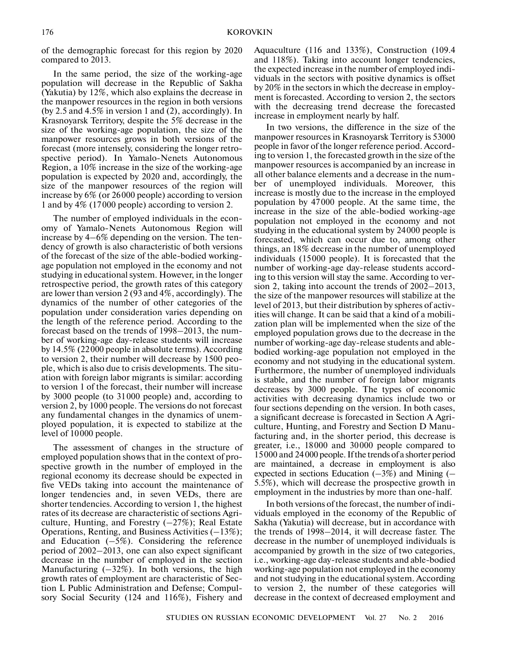of the demographic forecast for this region by 2020 compared to 2013.

In the same period, the size of the working-age population will decrease in the Republic of Sakha (Yakutia) by 12%, which also explains the decrease in the manpower resources in the region in both versions (by 2.5 and 4.5% in version 1 and (2), accordingly). In Krasnoyarsk Territory, despite the 5% decrease in the size of the working-age population, the size of the manpower resources grows in both versions of the forecast (more intensely, considering the longer retro spective period). In Yamalo-Nenets Autonomous Region, a 10% increase in the size of the working-age population is expected by 2020 and, accordingly, the size of the manpower resources of the region will increase by 6% (or 26000 people) according to version 1 and by 4% (17000 people) according to version 2.

The number of employed individuals in the econ omy of Yamalo-Nenets Autonomous Region will increase by 4–6% depending on the version. The ten dency of growth is also characteristic of both versions of the forecast of the size of the able-bodied working age population not employed in the economy and not studying in educational system. However, in the longer retrospective period, the growth rates of this category are lower than version 2 (93 and 4%, accordingly). The dynamics of the number of other categories of the population under consideration varies depending on the length of the reference period. According to the forecast based on the trends of 1998–2013, the num ber of working-age day-release students will increase by 14.5% (22000 people in absolute terms). According to version 2, their number will decrease by 1500 peo ple, which is also due to crisis developments. The situ ation with foreign labor migrants is similar: according to version 1 of the forecast, their number will increase by 3000 people (to 31000 people) and, according to version 2, by 1000 people. The versions do not forecast any fundamental changes in the dynamics of unem ployed population, it is expected to stabilize at the level of 10000 people.

The assessment of changes in the structure of employed population shows that in the context of pro spective growth in the number of employed in the regional economy its decrease should be expected in five VEDs taking into account the maintenance of longer tendencies and, in seven VEDs, there are shorter tendencies. According to version 1, the highest rates of its decrease are characteristic of sections Agri culture, Hunting, and Forestry  $(-27%)$ ; Real Estate Operations, Renting, and Business Activities (–13%); and Education  $(-5\%)$ . Considering the reference period of 2002–2013, one can also expect significant decrease in the number of employed in the section Manufacturing  $(-32\%)$ . In both versions, the high growth rates of employment are characteristic of Sec tion L Public Administration and Defense; Compul sory Social Security (124 and 116%), Fishery and Aquaculture (116 and 133%), Construction (109.4 and 118%). Taking into account longer tendencies, the expected increase in the number of employed indi viduals in the sectors with positive dynamics is offset by 20% in the sectors in which the decrease in employ ment is forecasted. According to version 2, the sectors with the decreasing trend decrease the forecasted increase in employment nearly by half.

In two versions, the difference in the size of the manpower resources in Krasnoyarsk Territory is 53000 people in favor of the longer reference period. Accord ing to version 1, the forecasted growth in the size of the manpower resources is accompanied by an increase in all other balance elements and a decrease in the num ber of unemployed individuals. Moreover, this increase is mostly due to the increase in the employed population by 47000 people. At the same time, the increase in the size of the able-bodied working-age population not employed in the economy and not studying in the educational system by 24000 people is forecasted, which can occur due to, among other things, an 18% decrease in the number of unemployed individuals (15000 people). It is forecasted that the number of working-age day-release students accord ing to this version will stay the same. According to ver sion 2, taking into account the trends of 2002–2013, the size of the manpower resources will stabilize at the level of 2013, but their distribution by spheres of activ ities will change. It can be said that a kind of a mobili zation plan will be implemented when the size of the employed population grows due to the decrease in the number of working-age day-release students and able bodied working-age population not employed in the economy and not studying in the educational system. Furthermore, the number of unemployed individuals is stable, and the number of foreign labor migrants decreases by 3000 people. The types of economic activities with decreasing dynamics include two or four sections depending on the version. In both cases, a significant decrease is forecasted in Section A Agri culture, Hunting, and Forestry and Section D Manu facturing and, in the shorter period, this decrease is greater, i.e., 18000 and 30000 people compared to 15000 and 24 000 people. If the trends of a shorter period are maintained, a decrease in employment is also expected in sections Education  $(-3\%)$  and Mining  $(-\)$ 5.5%), which will decrease the prospective growth in employment in the industries by more than one-half.

In both versions of the forecast, the number of indi viduals employed in the economy of the Republic of Sakha (Yakutia) will decrease, but in accordance with the trends of 1998–2014, it will decrease faster. The decrease in the number of unemployed individuals is accompanied by growth in the size of two categories, i.e., working-age day-release students and able-bodied working-age population not employed in the economy and not studying in the educational system. According to version 2, the number of these categories will decrease in the context of decreased employment and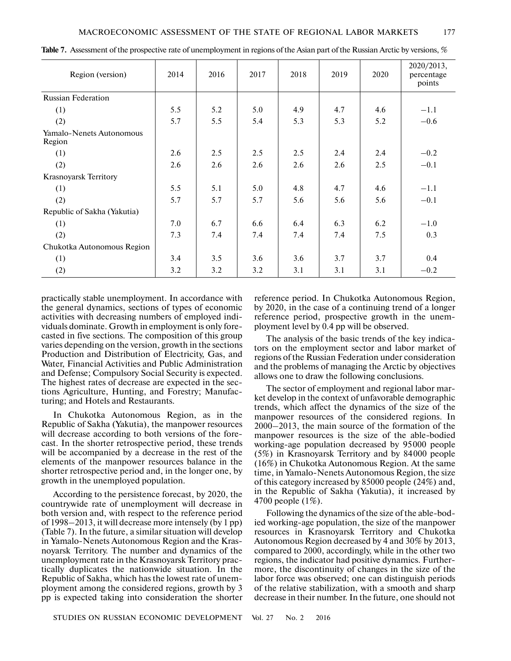| Region (version)                   | 2014 | 2016 | 2017 | 2018 | 2019 | 2020 | 2020/2013,<br>percentage<br>points |
|------------------------------------|------|------|------|------|------|------|------------------------------------|
| <b>Russian Federation</b>          |      |      |      |      |      |      |                                    |
| (1)                                | 5.5  | 5.2  | 5.0  | 4.9  | 4.7  | 4.6  | $-1.1$                             |
| (2)                                | 5.7  | 5.5  | 5.4  | 5.3  | 5.3  | 5.2  | $-0.6$                             |
| Yamalo-Nenets Autonomous<br>Region |      |      |      |      |      |      |                                    |
| (1)                                | 2.6  | 2.5  | 2.5  | 2.5  | 2.4  | 2.4  | $-0.2$                             |
| (2)                                | 2.6  | 2.6  | 2.6  | 2.6  | 2.6  | 2.5  | $-0.1$                             |
| Krasnoyarsk Territory              |      |      |      |      |      |      |                                    |
| (1)                                | 5.5  | 5.1  | 5.0  | 4.8  | 4.7  | 4.6  | $-1.1$                             |
| (2)                                | 5.7  | 5.7  | 5.7  | 5.6  | 5.6  | 5.6  | $-0.1$                             |
| Republic of Sakha (Yakutia)        |      |      |      |      |      |      |                                    |
| (1)                                | 7.0  | 6.7  | 6.6  | 6.4  | 6.3  | 6.2  | $-1.0$                             |
| (2)                                | 7.3  | 7.4  | 7.4  | 7.4  | 7.4  | 7.5  | 0.3                                |
| Chukotka Autonomous Region         |      |      |      |      |      |      |                                    |
| (1)                                | 3.4  | 3.5  | 3.6  | 3.6  | 3.7  | 3.7  | 0.4                                |
| (2)                                | 3.2  | 3.2  | 3.2  | 3.1  | 3.1  | 3.1  | $-0.2$                             |

**Table 7.** Assessment of the prospective rate of unemployment in regions of the Asian part of the Russian Arctic by versions, %

practically stable unemployment. In accordance with the general dynamics, sections of types of economic activities with decreasing numbers of employed indi viduals dominate. Growth in employment is only fore casted in five sections. The composition of this group varies depending on the version, growth in the sections Production and Distribution of Electricity, Gas, and Water, Financial Activities and Public Administration and Defense; Compulsory Social Security is expected. The highest rates of decrease are expected in the sec tions Agriculture, Hunting, and Forestry; Manufac turing; and Hotels and Restaurants.

In Chukotka Autonomous Region, as in the Republic of Sakha (Yakutia), the manpower resources will decrease according to both versions of the fore cast. In the shorter retrospective period, these trends will be accompanied by a decrease in the rest of the elements of the manpower resources balance in the shorter retrospective period and, in the longer one, by growth in the unemployed population.

According to the persistence forecast, by 2020, the countrywide rate of unemployment will decrease in both version and, with respect to the reference period of 1998–2013, it will decrease more intensely (by 1 pp) (Table 7). In the future, a similar situation will develop in Yamalo-Nenets Autonomous Region and the Kras noyarsk Territory. The number and dynamics of the unemployment rate in the Krasnoyarsk Territory prac tically duplicates the nationwide situation. In the Republic of Sakha, which has the lowest rate of unem ployment among the considered regions, growth by 3 pp is expected taking into consideration the shorter reference period. In Chukotka Autonomous Region, by 2020, in the case of a continuing trend of a longer reference period, prospective growth in the unem ployment level by 0.4 pp will be observed.

The analysis of the basic trends of the key indica tors on the employment sector and labor market of regions of the Russian Federation under consideration and the problems of managing the Arctic by objectives allows one to draw the following conclusions.

The sector of employment and regional labor mar ket develop in the context of unfavorable demographic trends, which affect the dynamics of the size of the manpower resources of the considered regions. In 2000–2013, the main source of the formation of the manpower resources is the size of the able-bodied working-age population decreased by 95000 people (5%) in Krasnoyarsk Territory and by 84000 people (16%) in Chukotka Autonomous Region. At the same time, in Yamalo-Nenets Autonomous Region, the size of this category increased by 85000 people (24%) and, in the Republic of Sakha (Yakutia), it increased by 4700 people (1%).

Following the dynamics of the size of the able-bod ied working-age population, the size of the manpower resources in Krasnoyarsk Territory and Chukotka Autonomous Region decreased by 4 and 30% by 2013, compared to 2000, accordingly, while in the other two regions, the indicator had positive dynamics. Further more, the discontinuity of changes in the size of the labor force was observed; one can distinguish periods of the relative stabilization, with a smooth and sharp decrease in their number. In the future, one should not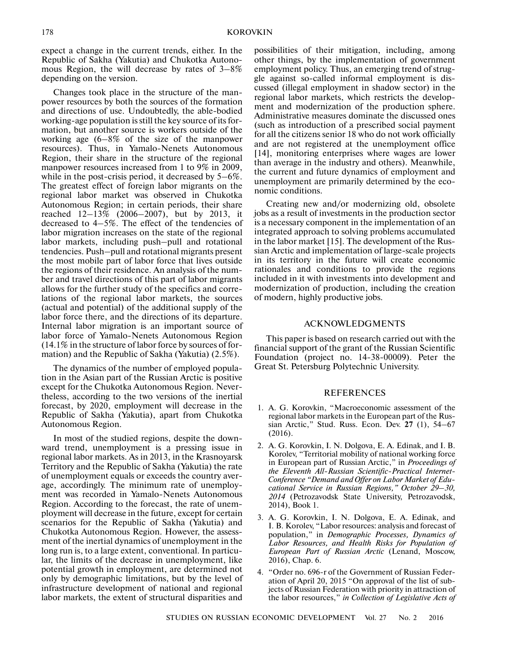expect a change in the current trends, either. In the Republic of Sakha (Yakutia) and Chukotka Autono mous Region, the will decrease by rates of 3–8% depending on the version.

Changes took place in the structure of the man power resources by both the sources of the formation and directions of use. Undoubtedly, the able-bodied working-age population is still the key source of its for mation, but another source is workers outside of the working age (6–8% of the size of the manpower resources). Thus, in Yamalo-Nenets Autonomous Region, their share in the structure of the regional manpower resources increased from 1 to 9% in 2009, while in the post-crisis period, it decreased by 5–6%. The greatest effect of foreign labor migrants on the regional labor market was observed in Chukotka Autonomous Region; in certain periods, their share reached 12–13% (2006–2007), but by 2013, it decreased to 4–5%. The effect of the tendencies of labor migration increases on the state of the regional labor markets, including push–pull and rotational tendencies. Push–pull and rotational migrants present the most mobile part of labor force that lives outside the regions of their residence. An analysis of the num ber and travel directions of this part of labor migrants allows for the further study of the specifics and corre lations of the regional labor markets, the sources (actual and potential) of the additional supply of the labor force there, and the directions of its departure. Internal labor migration is an important source of labor force of Yamalo-Nenets Autonomous Region (14.1% in the structure of labor force by sources of for mation) and the Republic of Sakha (Yakutia) (2.5%).

The dynamics of the number of employed popula tion in the Asian part of the Russian Arctic is positive except for the Chukotka Autonomous Region. Never theless, according to the two versions of the inertial forecast, by 2020, employment will decrease in the Republic of Sakha (Yakutia), apart from Chukotka Autonomous Region.

In most of the studied regions, despite the down ward trend, unemployment is a pressing issue in regional labor markets. As in 2013, in the Krasnoyarsk Territory and the Republic of Sakha (Yakutia) the rate of unemployment equals or exceeds the country aver age, accordingly. The minimum rate of unemploy ment was recorded in Yamalo-Nenets Autonomous Region. According to the forecast, the rate of unem ployment will decrease in the future, except for certain scenarios for the Republic of Sakha (Yakutia) and Chukotka Autonomous Region. However, the assess ment of the inertial dynamics of unemployment in the long run is, to a large extent, conventional. In particu lar, the limits of the decrease in unemployment, like potential growth in employment, are determined not only by demographic limitations, but by the level of infrastructure development of national and regional labor markets, the extent of structural disparities and

possibilities of their mitigation, including, among other things, by the implementation of government employment policy. Thus, an emerging trend of strug gle against so-called informal employment is dis cussed (illegal employment in shadow sector) in the regional labor markets, which restricts the develop ment and modernization of the production sphere. Administrative measures dominate the discussed ones (such as introduction of a prescribed social payment for all the citizens senior 18 who do not work officially and are not registered at the unemployment office [14], monitoring enterprises where wages are lower than average in the industry and others). Meanwhile, the current and future dynamics of employment and unemployment are primarily determined by the eco nomic conditions.

Creating new and/or modernizing old, obsolete jobs as a result of investments in the production sector is a necessary component in the implementation of an integrated approach to solving problems accumulated in the labor market [15]. The development of the Rus sian Arctic and implementation of large-scale projects in its territory in the future will create economic rationales and conditions to provide the regions included in it with investments into development and modernization of production, including the creation of modern, highly productive jobs.

## ACKNOWLEDGMENTS

This paper is based on research carried out with the financial support of the grant of the Russian Scientific Foundation (project no. 14-38-00009). Peter the Great St. Petersburg Polytechnic University.

## REFERENCES

- 1. A. G. Korovkin, "Macroeconomic assessment of the regional labor markets in the European part of the Rus sian Arctic," Stud. Russ. Econ. Dev. **27** (1), 54–67 (2016).
- 2. A. G. Korovkin, I. N. Dolgova, E. A. Edinak, and I. B. Korolev, "Territorial mobility of national working force in European part of Russian Arctic," in *Proceedings of the Eleventh All-Russian Scientific-Practical Internet- Conference "Demand and Offer on Labor Market of Edu cational Service in Russian Regions," October 29–30, 2014* (Petrozavodsk State University, Petrozavodsk, 2014), Book 1.
- 3. A. G. Korovkin, I. N. Dolgova, E. A. Edinak, and I. B. Korolev, "Labor resources: analysis and forecast of population," in *Demographic Processes, Dynamics of Labor Resources, and Health Risks for Population of European Part of Russian Arctic* (Lenand, Moscow, 2016), Chap. 6.
- 4. "Order no. 696-r of the Government of Russian Feder ation of April 20, 2015 "On approval of the list of sub jects of Russian Federation with priority in attraction of the labor resources," *in Collection of Legislative Acts of*